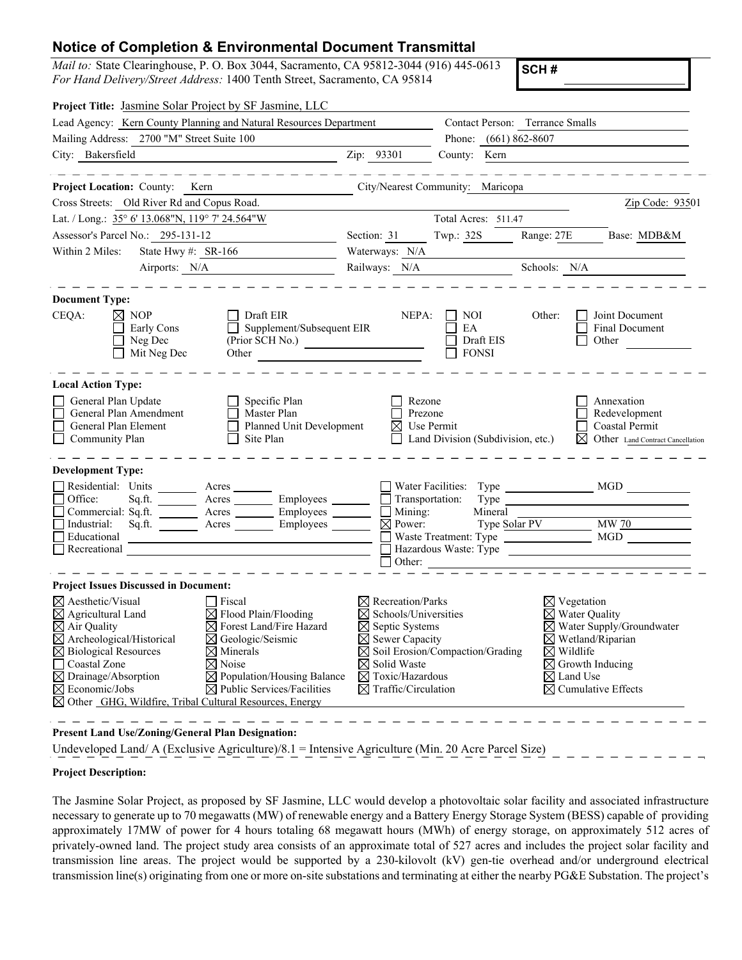## **Notice of Completion & Environmental Document Transmittal**

*Mail to:* State Clearinghouse, P. O. Box 3044, Sacramento, CA 95812-3044 (916) 445-0613 *For Hand Delivery/Street Address:* 1400 Tenth Street, Sacramento, CA 95814

**SCH #**

| Lead Agency: Kern County Planning and Natural Resources Department                                                                                                                                                                                                                                                                                                                                                                                                                                                                                                     |                                                                                                                                                                                                                                                  | Contact Person: Terrance Smalls                                                                                                                                                                                                              |  |
|------------------------------------------------------------------------------------------------------------------------------------------------------------------------------------------------------------------------------------------------------------------------------------------------------------------------------------------------------------------------------------------------------------------------------------------------------------------------------------------------------------------------------------------------------------------------|--------------------------------------------------------------------------------------------------------------------------------------------------------------------------------------------------------------------------------------------------|----------------------------------------------------------------------------------------------------------------------------------------------------------------------------------------------------------------------------------------------|--|
| Mailing Address: 2700 "M" Street Suite 100                                                                                                                                                                                                                                                                                                                                                                                                                                                                                                                             | Phone: (661) 862-8607                                                                                                                                                                                                                            |                                                                                                                                                                                                                                              |  |
| City: Bakersfield                                                                                                                                                                                                                                                                                                                                                                                                                                                                                                                                                      | Zip: 93301<br>County: Kern                                                                                                                                                                                                                       |                                                                                                                                                                                                                                              |  |
| Project Location: County: Kern                                                                                                                                                                                                                                                                                                                                                                                                                                                                                                                                         | City/Nearest Community: Maricopa                                                                                                                                                                                                                 |                                                                                                                                                                                                                                              |  |
| Cross Streets: Old River Rd and Copus Road.                                                                                                                                                                                                                                                                                                                                                                                                                                                                                                                            |                                                                                                                                                                                                                                                  | Zip Code: 93501                                                                                                                                                                                                                              |  |
| Lat. / Long.: 35° 6' 13.068"N, 119° 7' 24.564"W                                                                                                                                                                                                                                                                                                                                                                                                                                                                                                                        | Total Acres: 511.47                                                                                                                                                                                                                              |                                                                                                                                                                                                                                              |  |
| Assessor's Parcel No.: 295-131-12                                                                                                                                                                                                                                                                                                                                                                                                                                                                                                                                      | Twp.: 32S<br>Section: 31                                                                                                                                                                                                                         | Range: 27E<br>Base: MDB&M                                                                                                                                                                                                                    |  |
| Within 2 Miles:<br>State Hwy #: SR-166                                                                                                                                                                                                                                                                                                                                                                                                                                                                                                                                 | Waterways: N/A                                                                                                                                                                                                                                   |                                                                                                                                                                                                                                              |  |
| Airports: N/A                                                                                                                                                                                                                                                                                                                                                                                                                                                                                                                                                          | Railways: N/A                                                                                                                                                                                                                                    | Schools: N/A                                                                                                                                                                                                                                 |  |
| <b>Document Type:</b>                                                                                                                                                                                                                                                                                                                                                                                                                                                                                                                                                  |                                                                                                                                                                                                                                                  |                                                                                                                                                                                                                                              |  |
| CEQA:<br>$\bowtie$ NOP<br>Draft EIR<br>Supplement/Subsequent EIR<br>Early Cons<br>Neg Dec<br>Mit Neg Dec<br>Other                                                                                                                                                                                                                                                                                                                                                                                                                                                      | NEPA:<br>NOI<br>EA<br>(Prior SCH No.)<br>Draft EIS<br><b>FONSI</b>                                                                                                                                                                               | Other:<br>Joint Document<br><b>Final Document</b><br>Other                                                                                                                                                                                   |  |
| <b>Local Action Type:</b>                                                                                                                                                                                                                                                                                                                                                                                                                                                                                                                                              |                                                                                                                                                                                                                                                  |                                                                                                                                                                                                                                              |  |
| General Plan Update<br>Specific Plan<br>General Plan Amendment<br>Master Plan<br>General Plan Element<br>Planned Unit Development<br>Community Plan<br>Site Plan                                                                                                                                                                                                                                                                                                                                                                                                       | Rezone<br>Prezone<br>⊠<br>Use Permit<br>Land Division (Subdivision, etc.)                                                                                                                                                                        | Annexation<br>Redevelopment<br>Coastal Permit<br>Other Land Contract Cancellation<br>⊠                                                                                                                                                       |  |
| <b>Development Type:</b>                                                                                                                                                                                                                                                                                                                                                                                                                                                                                                                                               |                                                                                                                                                                                                                                                  |                                                                                                                                                                                                                                              |  |
| Residential: Units<br>Acres<br>Office:<br>Acres __________ Employees _______<br>Sq.ft.<br>Commercial: Sq.ft. _________ Acres ________ Employees _______<br>Sq.ft. Acres Employees<br>Industrial:<br>Educational<br>Recreational                                                                                                                                                                                                                                                                                                                                        | Water Facilities:<br>Transportation:<br>Type<br>Mining:<br>Mineral<br>$\Box$<br>Type Solar PV<br>$\boxtimes$ Power:<br>$\Box$ Other:                                                                                                             | $\overline{\text{MW }70}$<br>Waste Treatment: Type MGD MGD                                                                                                                                                                                   |  |
| <b>Project Issues Discussed in Document:</b>                                                                                                                                                                                                                                                                                                                                                                                                                                                                                                                           |                                                                                                                                                                                                                                                  |                                                                                                                                                                                                                                              |  |
| $\boxtimes$ Aesthetic/Visual<br>Fiscal<br>$\boxtimes$ Agricultural Land<br>$\boxtimes$ Flood Plain/Flooding<br>$\boxtimes$ Air Quality<br>⊠ Forest Land/Fire Hazard<br>$\boxtimes$ Archeological/Historical<br>$\boxtimes$ Geologic/Seismic<br>$\boxtimes$ Biological Resources<br>$\boxtimes$ Minerals<br>Coastal Zone<br>$\boxtimes$ Noise<br>$\boxtimes$ Drainage/Absorption<br>$\boxtimes$ Population/Housing Balance<br>$\boxtimes$ Economic/Jobs<br>$\boxtimes$ Public Services/Facilities<br>$\boxtimes$ Other GHG, Wildfire, Tribal Cultural Resources, Energy | Recreation/Parks<br>Schools/Universities<br>$\boxtimes$ Septic Systems<br>$\boxtimes$ Sewer Capacity<br>$\boxtimes$ Soil Erosion/Compaction/Grading<br>$\boxtimes$ Solid Waste<br>$\boxtimes$ Toxic/Hazardous<br>$\boxtimes$ Traffic/Circulation | $\boxtimes$ Vegetation<br>$\boxtimes$ Water Quality<br>$\boxtimes$ Water Supply/Groundwater<br>$\boxtimes$ Wetland/Riparian<br>$\boxtimes$ Wildlife<br>$\boxtimes$ Growth Inducing<br>$\boxtimes$ Land Use<br>$\boxtimes$ Cumulative Effects |  |

**Present Land Use/Zoning/General Plan Designation:**

Undeveloped Land/ A (Exclusive Agriculture)/8.1 = Intensive Agriculture (Min. 20 Acre Parcel Size)

## **Project Description:**

The Jasmine Solar Project, as proposed by SF Jasmine, LLC would develop a photovoltaic solar facility and associated infrastructure necessary to generate up to 70 megawatts (MW) of renewable energy and a Battery Energy Storage System (BESS) capable of providing approximately 17MW of power for 4 hours totaling 68 megawatt hours (MWh) of energy storage, on approximately 512 acres of privately-owned land. The project study area consists of an approximate total of 527 acres and includes the project solar facility and transmission line areas. The project would be supported by a 230-kilovolt (kV) gen-tie overhead and/or underground electrical transmission line(s) originating from one or more on-site substations and terminating at either the nearby PG&E Substation. The project's